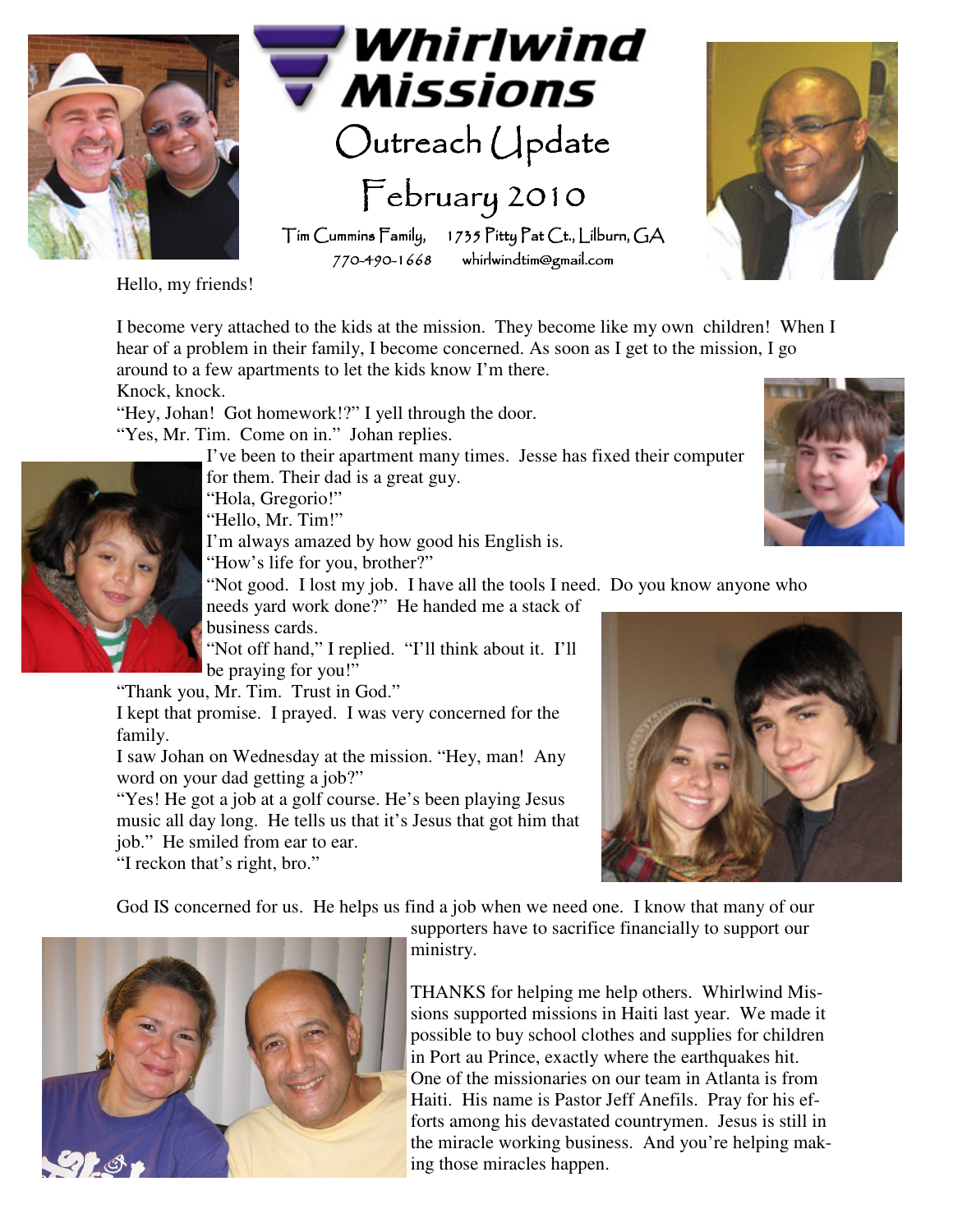

Whirlwind **Missions** 

Outreach Update February 2010

Tim Cummins Family, 1735 Pitty Pat Ct., Lilburn, GA 770-490-1668 whirlwindtim@gmail.com 1668 whirlwindtim@gmail.com whirlwindtim@gmail.com

Hello, my friends!

I become very attached to the kids at the mission. They become like my own children! When I hear of a problem in their family, I become concerned. As soon as I get to the mission, I go around to a few apartments to let the kids know I'm there.

Knock, knock.

"Hey, Johan! Got homework!?" I yell through the door. "Yes, Mr. Tim. Come on in." Johan replies.

I've been to their apartment many times. Jesse has fixed their computer for them. Their dad is a great guy.

"Hola, Gregorio!"

"Hello, Mr. Tim!"

I'm always amazed by how good his English is.

"How's life for you, brother?"

"Not good. I lost my job. I have all the tools I need. Do you know anyone who

needs yard work done?" He handed me a stack of business cards.

"Not off hand," I replied. "I'll think about it. I'll be praying for you!"

"Thank you, Mr. Tim. Trust in God."

I kept that promise. I prayed. I was very concerned for the family.

I saw Johan on Wednesday at the mission. "Hey, man! Any word on your dad getting a job?"

"Yes! He got a job at a golf course. He's been playing Jesus music all day long. He tells us that it's Jesus that got him that job." He smiled from ear to ear.

"I reckon that's right, bro."



God IS concerned for us. He helps us find a job when we need one. I know that many of our



supporters have to sacrifice financially to support our ministry.

THANKS for helping me help others. Whirlwind Missions supported missions in Haiti last year. We made it possible to buy school clothes and supplies for children in Port au Prince, exactly where the earthquakes hit. One of the missionaries on our team in Atlanta is from Haiti. His name is Pastor Jeff Anefils. Pray for his efforts among his devastated countrymen. Jesus is still in the miracle working business. And you're helping making those miracles happen.